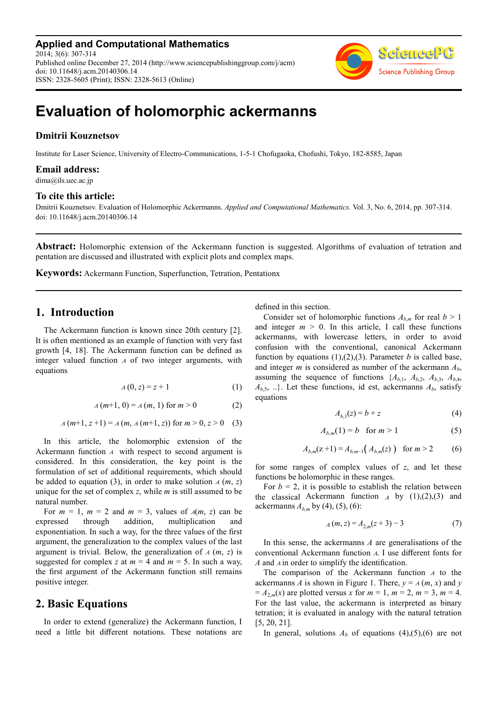**Applied and Computational Mathematics** 2014; 3(6): 307-314 Published online December 27, 2014 (http://www.sciencepublishinggroup.com/j/acm) doi: 10.11648/j.acm.20140306.14 ISSN: 2328-5605 (Print); ISSN: 2328-5613 (Online)



# **Evaluation of holomorphic ackermanns**

#### **Dmitrii Kouznetsov**

Institute for Laser Science, University of Electro-Communications, 1-5-1 Chofugaoka, Chofushi, Tokyo, 182-8585, Japan

#### **Email address:**

dima@ils.uec.ac.jp

#### **To cite this article:**

Dmitrii Kouznetsov. Evaluation of Holomorphic Ackermanns. *Applied and Computational Mathematics.* Vol. 3, No. 6, 2014, pp. 307-314. doi: 10.11648/j.acm.20140306.14

**Abstract:** Holomorphic extension of the Ackermann function is suggested. Algorithms of evaluation of tetration and pentation are discussed and illustrated with explicit plots and complex maps.

**Keywords:** Ackermann Function, Superfunction, Tetration, Pentationx

## **1. Introduction**

The Ackermann function is known since 20th century [2]. It is often mentioned as an example of function with very fast growth [4, 18]. The Ackermann function can be defined as integer valued function  $\overline{A}$  of two integer arguments, with equations

$$
A(0, z) = z + 1 \tag{1}
$$

$$
A(m+1, 0) = A(m, 1) \text{ for } m > 0
$$
 (2)

$$
A(m+1, z+1) = A(m, A(m+1, z)) \text{ for } m > 0, z > 0 \quad (3)
$$

In this article, the holomorphic extension of the Ackermann function A with respect to second argument is considered. In this consideration, the key point is the formulation of set of additional requirements, which should be added to equation (3), in order to make solution  $A(m, z)$ unique for the set of complex *z*, while *m* is still assumed to be natural number.

For  $m = 1$ ,  $m = 2$  and  $m = 3$ , values of  $A(m, z)$  can be expressed through addition, multiplication and exponentiation. In such a way, for the three values of the first argument, the generalization to the complex values of the last argument is trivial. Below, the generalization of  $A(m, z)$  is suggested for complex *z* at  $m = 4$  and  $m = 5$ . In such a way, the first argument of the Ackermann function still remains positive integer.

#### **2. Basic Equations**

In order to extend (generalize) the Ackermann function, I need a little bit different notations. These notations are defined in this section.

Consider set of holomorphic functions  $A_{b,m}$  for real  $b > 1$ and integer  $m > 0$ . In this article, I call these functions ackermanns, with lowercase letters, in order to avoid confusion with the conventional, canonical Ackermann function by equations  $(1),(2),(3)$ . Parameter *b* is called base, and integer *m* is considered as number of the ackermann *Ab*, assuming the sequence of functions  $\{A_{b,1}, A_{b,2}, A_{b,3}, A_{b,4}, A_{b,4}, A_{b,5}\}$  $A_{b,5}$ , ..}. Let these functions, id est, ackermanns  $A_b$ , satisfy equations

$$
A_{b,1}(z) = b + z \tag{4}
$$

$$
A_{b,m}(1) = b \quad \text{for } m > 1 \tag{5}
$$

$$
A_{b,m}(z+1) = A_{b,m-1}(A_{b,m}(z)) \text{ for } m > 2
$$
 (6)

for some ranges of complex values of *z*, and let these functions be holomorphic in these ranges.

For  $b = 2$ , it is possible to establish the relation between the classical Ackermann function  $_A$  by (1),(2),(3) and ackermanns  $A_{b,m}$  by (4), (5), (6):

$$
A(m, z) = A_{2,m}(z+3) - 3 \tag{7}
$$

In this sense, the ackermanns *A* are generalisations of the conventional Ackermann function A. I use different fonts for *A* and *A* in order to simplify the identification.

The comparison of the Ackermann function  $A$  to the ackermanns *A* is shown in Figure 1. There,  $y = A(m, x)$  and *y*  $= A_{2,m}(x)$  are plotted versus *x* for  $m = 1$ ,  $m = 2$ ,  $m = 3$ ,  $m = 4$ . For the last value, the ackermann is interpreted as binary tetration; it is evaluated in analogy with the natural tetration [5, 20, 21].

In general, solutions  $A_b$  of equations (4),(5),(6) are not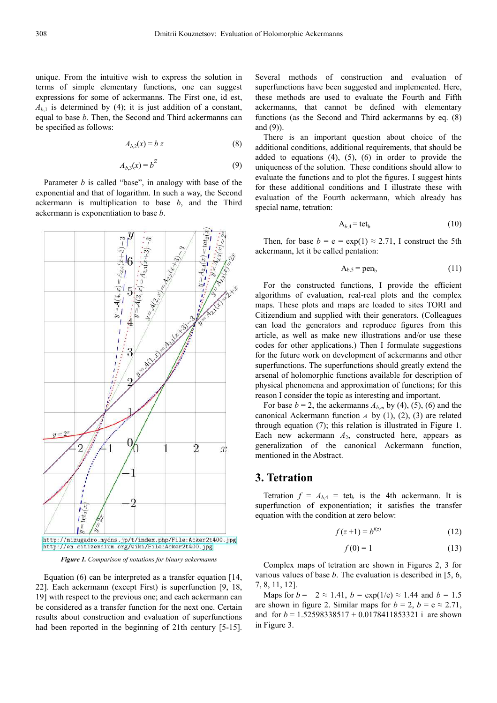unique. From the intuitive wish to express the solution in terms of simple elementary functions, one can suggest expressions for some of ackermanns. The First one, id est,  $A_{b1}$  is determined by (4); it is just addition of a constant, equal to base *b*. Then, the Second and Third ackermanns can be specified as follows:

$$
A_{b,2}(x) = b \, z \tag{8}
$$

$$
A_{b,3}(x) = b^Z \tag{9}
$$

Parameter *b* is called "base", in analogy with base of the exponential and that of logarithm. In such a way, the Second ackermann is multiplication to base *b*, and the Third ackermann is exponentiation to base *b*.



*Figure 1. Comparison of notations for binary ackermanns* 

Equation (6) can be interpreted as a transfer equation [14, 22]. Each ackermann (except First) is superfunction [9, 18, 19] with respect to the previous one; and each ackermann can be considered as a transfer function for the next one. Certain results about construction and evaluation of superfunctions had been reported in the beginning of 21th century [5-15].

Several methods of construction and evaluation of superfunctions have been suggested and implemented. Here, these methods are used to evaluate the Fourth and Fifth ackermanns, that cannot be defined with elementary functions (as the Second and Third ackermanns by eq. (8) and (9)).

There is an important question about choice of the additional conditions, additional requirements, that should be added to equations (4), (5), (6) in order to provide the uniqueness of the solution. These conditions should allow to evaluate the functions and to plot the figures. I suggest hints for these additional conditions and I illustrate these with evaluation of the Fourth ackermann, which already has special name, tetration:

$$
A_{b,4} = \text{tet}_b \tag{10}
$$

Then, for base  $b = e = \exp(1) \approx 2.71$ , I construct the 5th ackermann, let it be called pentation:

$$
A_{b,5} = pen_b \tag{11}
$$

For the constructed functions, I provide the efficient algorithms of evaluation, real-real plots and the complex maps. These plots and maps are loaded to sites TORI and Citizendium and supplied with their generators. (Colleagues can load the generators and reproduce figures from this article, as well as make new illustrations and/or use these codes for other applications.) Then I formulate suggestions for the future work on development of ackermanns and other superfunctions. The superfunctions should greatly extend the arsenal of holomorphic functions available for description of physical phenomena and approximation of functions; for this reason I consider the topic as interesting and important.

For base  $b = 2$ , the ackermanns  $A_{b,m}$  by (4), (5), (6) and the canonical Ackermann function  $A$  by (1), (2), (3) are related through equation (7); this relation is illustrated in Figure 1. Each new ackermann  $A_2$ , constructed here, appears as generalization of the canonical Ackermann function, mentioned in the Abstract.

#### **3. Tetration**

Tetration  $f = A_{b,4} = \text{tet}_b$  is the 4th ackermann. It is superfunction of exponentiation; it satisfies the transfer equation with the condition at zero below:

$$
f(z+1) = b^{f(z)} \tag{12}
$$

$$
f(0) = 1 \tag{13}
$$

Complex maps of tetration are shown in Figures 2, 3 for various values of base *b*. The evaluation is described in [5, 6, 7, 8, 11, 12].

Maps for  $b = 2 \approx 1.41$ ,  $b = \exp(1/e) \approx 1.44$  and  $b = 1.5$ are shown in figure 2. Similar maps for  $b = 2$ ,  $b = e \approx 2.71$ , and for *b* = 1.52598338517 + 0.0178411853321 i are shown in Figure 3.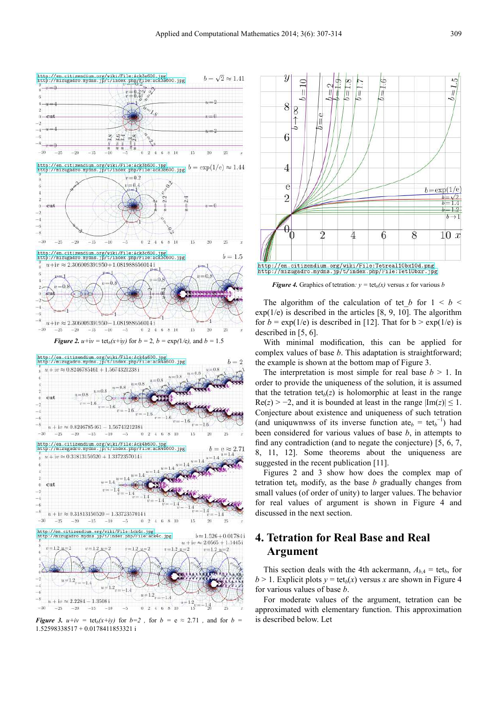



*Figure 3.*  $u+iv = \text{tet}_b(x+iy)$  *for*  $b=2$ , for  $b = e \approx 2.71$ , and for  $b = 2$ 1.52598338517 + 0.0178411853321 i

 $-30$ 

 $-20$  $-15$ 

 $-25$ 

 $-10$ 

Цf

 $0.2$ 

 $46810$ 



*Figure 4.* Graphics of tetration:  $y = \text{tet}_b(x)$  versus x for various *b* 

The algorithm of the calculation of tet *b* for  $1 \leq b \leq$  $exp(1/e)$  is described in the articles [8, 9, 10]. The algorithm for  $b = \exp(1/e)$  is described in [12]. That for  $b > \exp(1/e)$  is described in [5, 6].

With minimal modification, this can be applied for complex values of base *b*. This adaptation is straightforward; the example is shown at the bottom map of Figure 3.

The interpretation is most simple for real base  $b > 1$ . In order to provide the uniqueness of the solution, it is assumed that the tetration tet<sub> $b$ </sub>(*z*) is holomorphic at least in the range  $\text{Re}(z)$  > -2, and it is bounded at least in the range  $|\text{Im}(z)| \leq 1$ . Conjecture about existence and uniqueness of such tetration (and uniquwnwss of its inverse function at  $e_b = \text{tet}_b^{-1}$ ) had been considered for various values of base *b*, in attempts to find any contradiction (and to negate the conjecture) [5, 6, 7, 8, 11, 12]. Some theorems about the uniqueness are suggested in the recent publication [11].

Figures 2 and 3 show how does the complex map of tetration tet $_b$  modify, as the base  $b$  gradually changes from small values (of order of unity) to larger values. The behavior for real values of argument is shown in Figure 4 and discussed in the next section.

# **4. Tetration for Real Base and Real Argument**

This section deals with the 4th ackermann,  $A_{b,4} = \text{tet}_b$ , for  $b > 1$ . Explicit plots  $y = \text{tet}_b(x)$  versus *x* are shown in Figure 4 for various values of base *b*.

For moderate values of the argument, tetration can be approximated with elementary function. This approximation is described below. Let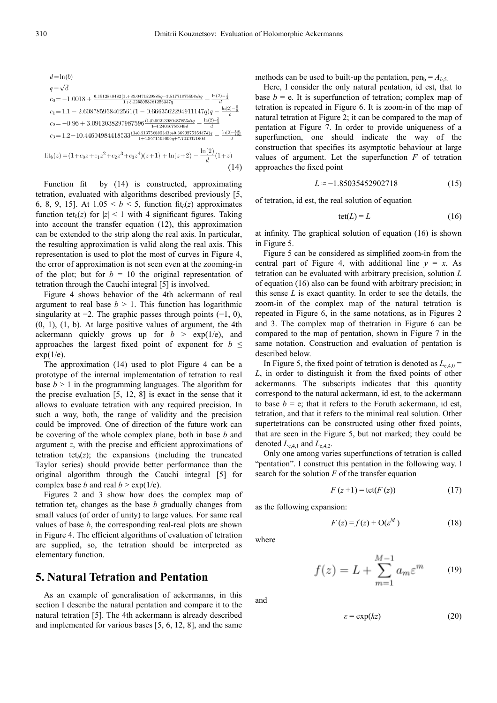$$
d = \ln(b)
$$
\n
$$
q = \sqrt{d}
$$
\n
$$
c_0 = -1.0018 + \frac{0.1512848482(1. + 33.0471529885q - 3.51771875598d)q}{1 + 3.2255053261256337q} + \frac{\ln(2) - \frac{1}{2}}{d}
$$
\n
$$
c_1 = 1.1 - 2.608785958462561(1 - 0.6663562294911147q)q - \frac{\ln(2) - \frac{5}{8}}{d}
$$
\n
$$
c_2 = -0.96 + 3.0912038297987596 \frac{(1+0.60213980487853d)q}{1+4.24046755648d} + \frac{\ln(2) - \frac{2}{3}}{d}
$$
\n
$$
c_3 = 1.2 - 10.44604984418533 \frac{(1+0.213756892843q+0.369327525447d)q}{1+4.9571563666q + 7.702332166d} - \frac{\ln(2) - \frac{131}{192}}{d}
$$
\n
$$
fit_b(z) = (1 + c_0 z + c_1 z^2 + c_2 z^3 + c_3 z^4)(z+1) + \ln(z+2) - \frac{\ln(2)}{d}(1+z)
$$
\n(14)

Function fit by (14) is constructed, approximating tetration, evaluated with algorithms described previously [5, 6, 8, 9, 15]. At  $1.05 < b < 5$ , function fit<sub>b</sub>(*z*) approximates function tet<sub>*b*</sub>(*z*) for  $|z| < 1$  with 4 significant figures. Taking into account the transfer equation (12), this approximation can be extended to the strip along the real axis. In particular, the resulting approximation is valid along the real axis. This representation is used to plot the most of curves in Figure 4, the error of approximation is not seen even at the zooming-in of the plot; but for  $b = 10$  the original representation of tetration through the Cauchi integral [5] is involved.

Figure 4 shows behavior of the 4th ackermann of real argument to real base  $b > 1$ . This function has logarithmic singularity at  $-2$ . The graphic passes through points  $(-1, 0)$ ,  $(0, 1)$ ,  $(1, b)$ . At large positive values of argument, the 4th ackermann quickly grows up for  $b > \exp(1/e)$ , and approaches the largest fixed point of exponent for  $b \leq$  $exp(1/e)$ .

The approximation (14) used to plot Figure 4 can be a prototype of the internal implementation of tetration to real base  $b > 1$  in the programming languages. The algorithm for the precise evaluation [5, 12, 8] is exact in the sense that it allows to evaluate tetration with any required precision. In such a way, both, the range of validity and the precision could be improved. One of direction of the future work can be covering of the whole complex plane, both in base *b* and argument *z*, with the precise and efficient approximations of tetration tet $_b(z)$ ; the expansions (including the truncated Taylor series) should provide better performance than the original algorithm through the Cauchi integral [5] for complex base *b* and real  $b > \exp(1/e)$ .

Figures 2 and 3 show how does the complex map of tetration tet<sub>b</sub> changes as the base  $b$  gradually changes from small values (of order of unity) to large values. For same real values of base *b*, the corresponding real-real plots are shown in Figure 4. The efficient algorithms of evaluation of tetration are supplied, so, the tetration should be interpreted as elementary function.

## **5. Natural Tetration and Pentation**

As an example of generalisation of ackermanns, in this section I describe the natural pentation and compare it to the natural tetration [5]. The 4th ackermann is already described and implemented for various bases [5, 6, 12, 8], and the same methods can be used to built-up the pentation, pen<sub>b</sub> =  $A_{b,5}$ .

Here, I consider the only natural pentation, id est, that to base  $b = e$ . It is superfunction of tetration; complex map of tetration is repeated in Figure 6. It is zoom-in of the map of natural tetration at Figure 2; it can be compared to the map of pentation at Figure 7. In order to provide uniqueness of a superfunction, one should indicate the way of the construction that specifies its asymptotic behaviour at large values of argument. Let the superfunction *F* of tetration approaches the fixed point

$$
L \approx -1.85035452902718\tag{15}
$$

of tetration, id est, the real solution of equation

$$
tet(L) = L \tag{16}
$$

at infinity. The graphical solution of equation (16) is shown in Figure 5.

Figure 5 can be considered as simplified zoom-in from the central part of Figure 4, with additional line  $y = x$ . As tetration can be evaluated with arbitrary precision, solution *L* of equation (16) also can be found with arbitrary precision; in this sense *L* is exact quantity. In order to see the details, the zoom-in of the complex map of the natural tetration is repeated in Figure 6, in the same notations, as in Figures 2 and 3. The complex map of thetration in Figure 6 can be compared to the map of pentation, shown in Figure 7 in the same notation. Construction and evaluation of pentation is described below.

In Figure 5, the fixed point of tetration is denoted as  $L_{e,4,0}$  = *L*, in order to distinguish it from the fixed points of other ackermanns. The subscripts indicates that this quantity correspond to the natural ackermann, id est, to the ackermann to base  $b = e$ ; that it refers to the Foruth ackermann, id est, tetration, and that it refers to the minimal real solution. Other supertetrations can be constructed using other fixed points, that are seen in the Figure 5, but not marked; they could be denoted  $L_{e,4,1}$  and  $L_{e,4,2}$ .

Only one among varies superfunctions of tetration is called "pentation". I construct this pentation in the following way. I search for the solution *F* of the transfer equation

$$
F(z+1) = \text{tet}(F(z))\tag{17}
$$

as the following expansion:

$$
F(z) = f(z) + O(\varepsilon^M)
$$
 (18)

where

$$
f(z) = L + \sum_{m=1}^{M-1} a_m \varepsilon^m \qquad (19)
$$

and

$$
\varepsilon = \exp(kz) \tag{20}
$$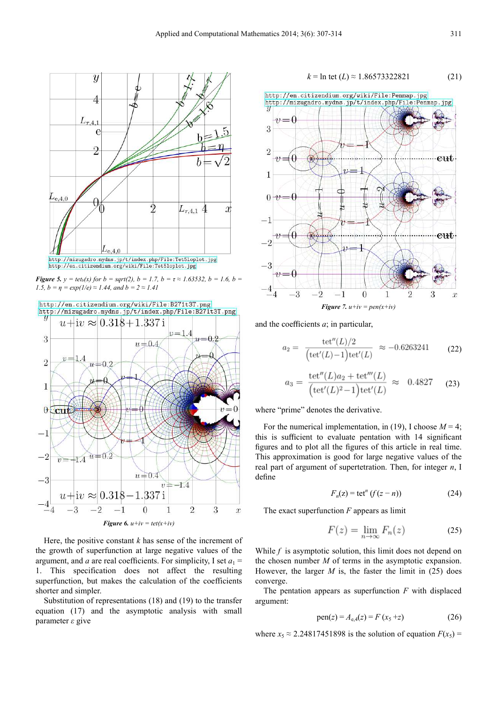

*Figure 5.*  $y = \text{tet}_b(x)$  for  $b = \text{sqrt}(2)$ ,  $b = 1.7$ ,  $b = \tau \approx 1.63532$ ,  $b = 1.6$ ,  $b =$ *1.5, b = η =*  $exp(I/e) \approx 1.44$ *, and b = 2*  $\approx 1.41$ 



Here, the positive constant  $k$  has sense of the increment of the growth of superfunction at large negative values of the argument, and *a* are real coefficients. For simplicity, I set  $a_1 =$ 1. This specification does not affect the resulting superfunction, but makes the calculation of the coefficients shorter and simpler.

Substitution of representations (18) and (19) to the transfer equation (17) and the asymptotic analysis with small parameter *ε* give



and the coefficients *a*; in particular,

 $a_2$ 

$$
= \frac{\text{tet}''(L)/2}{\left(\text{tet}'(L)-1\right)\text{tet}'(L)} \approx -0.6263241 \qquad (22)
$$

$$
a_3 = \frac{\textrm{tet}''(L)a_2 + \textrm{tet}'''(L)}{\left(\textrm{tet}'(L)^2 - 1\right)\textrm{tet}'(L)} \approx 0.4827\quad \ \ (23)
$$

where "prime" denotes the derivative.

For the numerical implementation, in (19), I choose  $M = 4$ ; this is sufficient to evaluate pentation with 14 significant figures and to plot all the figures of this article in real time. This approximation is good for large negative values of the real part of argument of supertetration. Then, for integer *n*, I define

$$
F_n(z) = \det^n (f(z - n))
$$
 (24)

The exact superfunction *F* appears as limit

$$
F(z) = \lim_{n \to \infty} F_n(z) \tag{25}
$$

While *f* is asymptotic solution, this limit does not depend on the chosen number *M* of terms in the asymptotic expansion. However, the larger  $M$  is, the faster the limit in  $(25)$  does converge.

The pentation appears as superfunction *F* with displaced argument:

$$
pen(z) = A_{e,4}(z) = F(x_5 + z)
$$
 (26)

where  $x_5 \approx 2.24817451898$  is the solution of equation  $F(x_5) =$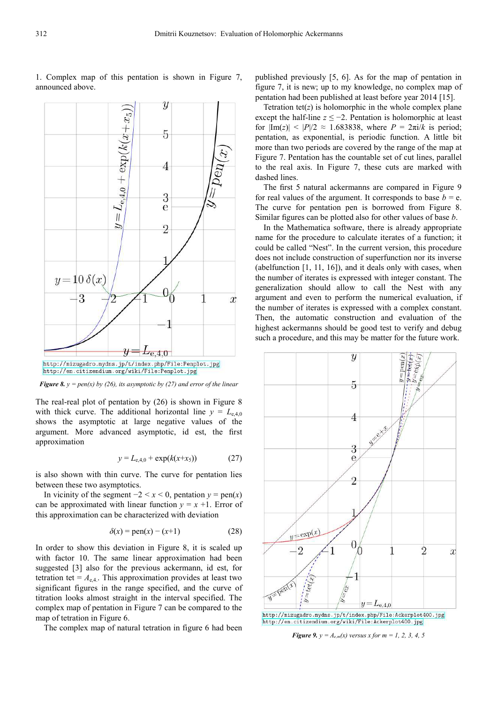

1. Complex map of this pentation is shown in Figure 7, announced above.

*Figure 8.*  $y = pen(x)$  *by (26), its asymptotic by (27) and error of the linear* 

The real-real plot of pentation by (26) is shown in Figure 8 with thick curve. The additional horizontal line  $y = L_{e,4,0}$ shows the asymptotic at large negative values of the argument. More advanced asymptotic, id est, the first approximation

$$
y = L_{e,4,0} + \exp(k(x+x_5))
$$
 (27)

is also shown with thin curve. The curve for pentation lies between these two asymptotics.

In vicinity of the segment  $-2 < x < 0$ , pentation  $y = \text{pen}(x)$ can be approximated with linear function  $y = x +1$ . Error of this approximation can be characterized with deviation

$$
\delta(x) = \text{pen}(x) - (x+1) \tag{28}
$$

In order to show this deviation in Figure 8, it is scaled up with factor 10. The same linear approximation had been suggested [3] also for the previous ackermann, id est, for tetration tet =  $A_{e,4}$ . This approximation provides at least two significant figures in the range specified, and the curve of titration looks almost straight in the interval specified. The complex map of pentation in Figure 7 can be compared to the map of tetration in Figure 6.

The complex map of natural tetration in figure 6 had been

published previously [5, 6]. As for the map of pentation in figure 7, it is new; up to my knowledge, no complex map of pentation had been published at least before year 2014 [15].

Tetration tet( $z$ ) is holomorphic in the whole complex plane except the half-line  $z \le -2$ . Pentation is holomorphic at least for  $|Im(z)| < |P|/2 \approx 1.683838$ , where  $P = 2\pi i/k$  is period; pentation, as exponential, is periodic function. A little bit more than two periods are covered by the range of the map at Figure 7. Pentation has the countable set of cut lines, parallel to the real axis. In Figure 7, these cuts are marked with dashed lines.

The first 5 natural ackermanns are compared in Figure 9 for real values of the argument. It corresponds to base  $b = e$ . The curve for pentation pen is borrowed from Figure 8. Similar figures can be plotted also for other values of base *b*.

In the Mathematica software, there is already appropriate name for the procedure to calculate iterates of a function; it could be called "Nest". In the current version, this procedure does not include construction of superfunction nor its inverse (abelfunction [1, 11, 16]), and it deals only with cases, when the number of iterates is expressed with integer constant. The generalization should allow to call the Nest with any argument and even to perform the numerical evaluation, if the number of iterates is expressed with a complex constant. Then, the automatic construction and evaluation of the highest ackermanns should be good test to verify and debug such a procedure, and this may be matter for the future work.



*Figure 9. y =*  $A_{e,m}(x)$  *versus x for m = 1, 2, 3, 4, 5*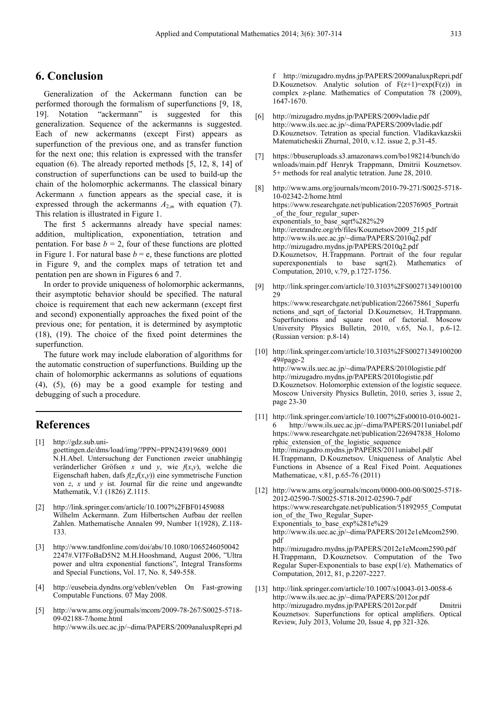## **6. Conclusion**

Generalization of the Ackermann function can be performed thorough the formalism of superfunctions [9, 18, 19]. Notation "ackermann" is suggested for this generalization. Sequence of the ackermanns is suggested. Each of new ackermanns (except First) appears as superfunction of the previous one, and as transfer function for the next one; this relation is expressed with the transfer equation (6). The already reported methods [5, 12, 8, 14] of construction of superfunctions can be used to build-up the chain of the holomorphic ackermanns. The classical binary Ackermann A function appears as the special case, it is expressed through the ackermanns  $A_{2,m}$  with equation (7). This relation is illustrated in Figure 1.

The first 5 ackermanns already have special names: addition, multiplication, exponentiation, tetration and pentation. For base  $b = 2$ , four of these functions are plotted in Figure 1. For natural base  $b = e$ , these functions are plotted in Figure 9, and the complex maps of tetration tet and pentation pen are shown in Figures 6 and 7.

In order to provide uniqueness of holomorphic ackermanns, their asymptotic behavior should be specified. The natural choice is requirement that each new ackermann (except first and second) exponentially approaches the fixed point of the previous one; for pentation, it is determined by asymptotic (18), (19). The choice of the fixed point determines the superfunction.

The future work may include elaboration of algorithms for the automatic construction of superfunctions. Building up the chain of holomorphic ackermanns as solutions of equations (4), (5), (6) may be a good example for testing and debugging of such a procedure.

# **References**

- [1] http://gdz.sub.unigoettingen.de/dms/load/img/?PPN=PPN243919689\_0001 N.H.Abel. Untersuchung der Functionen zweier unabhängig veränderlicher Gröfsen *x* und *y*, wie *f*(*x*,*y*), welche die Eigenschaft haben, dafs  $f(z, f(x,y))$  eine symmetrische Function von *z*, *x* und *y* ist. Journal für die reine und angewandte Mathematik, V.1 (1826) Z.1115.
- [2] http://link.springer.com/article/10.1007%2FBF01459088 Wilhelm Ackermann. Zum Hilbertschen Aufbau der reellen Zahlen. Mathematische Annalen 99, Number 1(1928), Z.118- 133.
- [3] http://www.tandfonline.com/doi/abs/10.1080/1065246050042 2247#.VI7FoBaD5N2 M.H.Hooshmand, August 2006, "Ultra power and ultra exponential functions", Integral Transforms and Special Functions, Vol. 17, No. 8, 549-558.
- http://eusebeia.dyndns.org/veblen/veblen On Fast-growing Computable Functions. 07 May 2008.
- [5] http://www.ams.org/journals/mcom/2009-78-267/S0025-5718- 09-02188-7/home.html http://www.ils.uec.ac.jp/~dima/PAPERS/2009analuxpRepri.pd

f http://mizugadro.mydns.jp/PAPERS/2009analuxpRepri.pdf D.Kouznetsov. Analytic solution of  $F(z+1)=exp(F(z))$  in complex z-plane. Mathematics of Computation 78 (2009), 1647-1670.

- [6] http://mizugadro.mydns.jp/PAPERS/2009vladie.pdf http://www.ils.uec.ac.jp/~dima/PAPERS/2009vladie.pdf D.Kouznetsov. Tetration as special function. Vladikavkazskii Matematicheskii Zhurnal, 2010, v.12. issue 2, p.31-45.
- [7] https://bbuseruploads.s3.amazonaws.com/bo198214/bunch/do wnloads/main.pdf Henryk Trappmann, Dmitrii Kouznetsov. 5+ methods for real analytic tetration. June 28, 2010.
- [8] http://www.ams.org/journals/mcom/2010-79-271/S0025-5718- 10-02342-2/home.html https://www.researchgate.net/publication/220576905\_Portrait of the four regular superexponentials\_to\_base\_sqrt%282%29 http://eretrandre.org/rb/files/Kouznetsov2009\_215.pdf http://www.ils.uec.ac.jp/~dima/PAPERS/2010q2.pdf http://mizugadro.mydns.jp/PAPERS/2010q2.pdf D.Kouznetsov, H.Trappmann. Portrait of the four regular superexponentials to base sqrt(2). Mathematics of Computation, 2010, v.79, p.1727-1756.
- [9] http://link.springer.com/article/10.3103%2FS00271349100100 29 https://www.researchgate.net/publication/226675861\_Superfu nctions and sqrt of factorial D.Kouznetsov, H.Trappmann. Superfunctions and square root of factorial. Moscow University Physics Bulletin, 2010, v.65, No.1, p.6-12. (Russian version: p.8-14)
- [10] http://link.springer.com/article/10.3103%2FS00271349100200 49#page-2 http://www.ils.uec.ac.jp/~dima/PAPERS/2010logistie.pdf http://mizugadro.mydns.jp/PAPERS/2010logistie.pdf D.Kouznetsov. Holomorphic extension of the logistic sequece. Moscow University Physics Bulletin, 2010, series 3, issue 2, page 23-30
- [11] http://link.springer.com/article/10.1007%2Fs00010-010-0021 http://www.ils.uec.ac.jp/~dima/PAPERS/2011uniabel.pdf https://www.researchgate.net/publication/226947838\_Holomo rphic\_extension\_of\_the\_logistic\_sequence http://mizugadro.mydns.jp/PAPERS/2011uniabel.pdf H.Trappmann, D.Kouznetsov. Uniqueness of Analytic Abel Functions in Absence of a Real Fixed Point. Aequationes Mathematicae, v.81, p.65-76 (2011)
- [12] http://www.ams.org/journals/mcom/0000-000-00/S0025-5718- 2012-02590-7/S0025-5718-2012-02590-7.pdf https://www.researchgate.net/publication/51892955\_Computat ion of the Two Regular Super-Exponentials to base\_exp%281e%29 http://www.ils.uec.ac.jp/~dima/PAPERS/2012e1eMcom2590. pdf http://mizugadro.mydns.jp/PAPERS/2012e1eMcom2590.pdf H.Trappmann, D.Kouznetsov. Computation of the Two Regular Super-Exponentials to base exp(1/e). Mathematics of
- [13] http://link.springer.com/article/10.1007/s10043-013-0058-6 http://www.ils.uec.ac.jp/~dima/PAPERS/2012or.pdf http://mizugadro.mydns.jp/PAPERS/2012or.pdf Dmitrii Kouznetsov. Superfunctions for optical amplifiers. Optical Review, July 2013, Volume 20, Issue 4, pp 321-326.

Computation, 2012, 81, p.2207-2227.